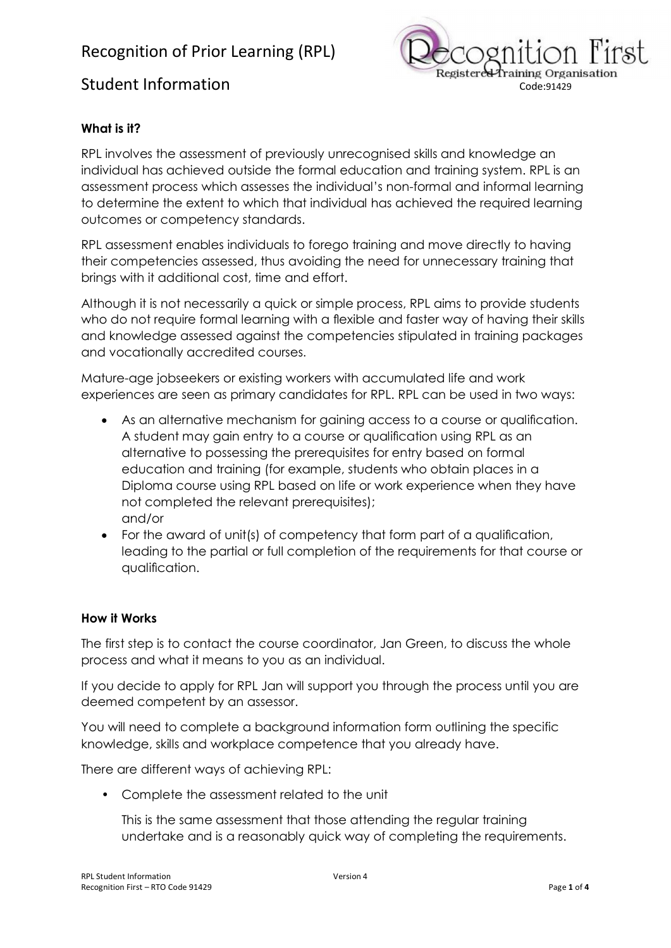# Recognition of Prior Learning (RPL)



# **What is it?**

RPL involves the assessment of previously unrecognised skills and knowledge an individual has achieved outside the formal education and training system. RPL is an assessment process which assesses the individual's non-formal and informal learning to determine the extent to which that individual has achieved the required learning outcomes or competency standards.

RPL assessment enables individuals to forego training and move directly to having their competencies assessed, thus avoiding the need for unnecessary training that brings with it additional cost, time and effort.

Although it is not necessarily a quick or simple process, RPL aims to provide students who do not require formal learning with a flexible and faster way of having their skills and knowledge assessed against the competencies stipulated in training packages and vocationally accredited courses.

Mature-age jobseekers or existing workers with accumulated life and work experiences are seen as primary candidates for RPL. RPL can be used in two ways:

- As an alternative mechanism for gaining access to a course or qualification. A student may gain entry to a course or qualification using RPL as an alternative to possessing the prerequisites for entry based on formal education and training (for example, students who obtain places in a Diploma course using RPL based on life or work experience when they have not completed the relevant prerequisites); and/or
- · For the award of unit(s) of competency that form part of a qualification, leading to the partial or full completion of the requirements for that course or qualification.

### **How it Works**

The first step is to contact the course coordinator, Jan Green, to discuss the whole process and what it means to you as an individual.

If you decide to apply for RPL Jan will support you through the process until you are deemed competent by an assessor.

You will need to complete a background information form outlining the specific knowledge, skills and workplace competence that you already have.

There are different ways of achieving RPL:

• Complete the assessment related to the unit

This is the same assessment that those attending the regular training undertake and is a reasonably quick way of completing the requirements.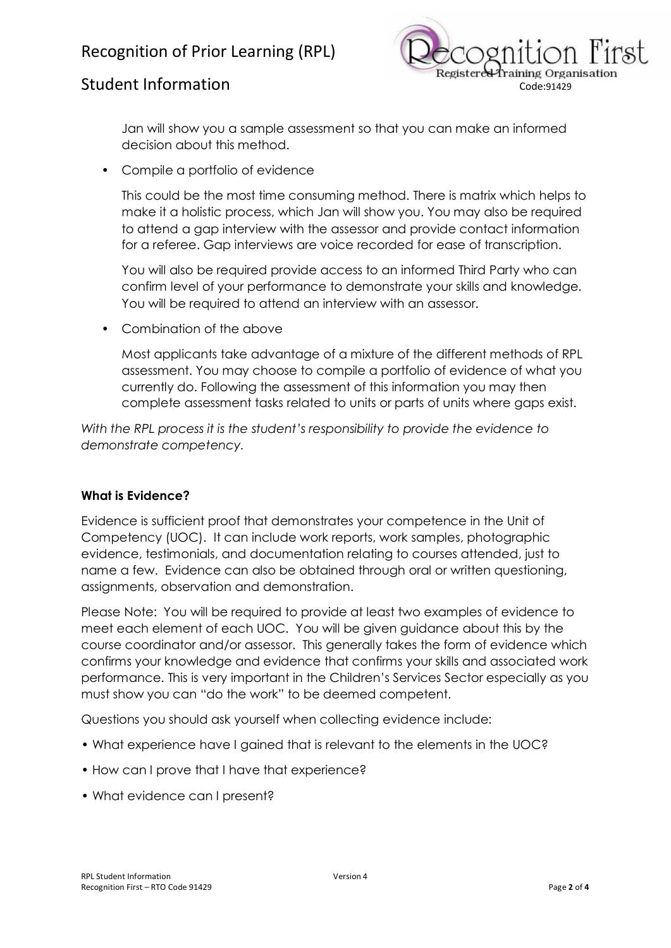# Recognition of Prior Learning (RPL)



Jan will show you a sample assessment so that you can make an informed decision about this method.

• Compile a portfolio of evidence

This could be the most time consuming method. There is matrix which helps to make it a holistic process, which Jan will show you. You may also be required to attend a gap interview with the assessor and provide contact information for a referee. Gap interviews are voice recorded for ease of transcription.

You will also be required provide access to an informed Third Party who can confirm level of your performance to demonstrate your skills and knowledge. You will be required to attend an interview with an assessor.

• Combination of the above

Most applicants take advantage of a mixture of the different methods of RPL assessment. You may choose to compile a portfolio of evidence of what you currently do. Following the assessment of this information you may then complete assessment tasks related to units or parts of units where gaps exist.

*With the RPL process it is the student's responsibility to provide the evidence to demonstrate competency.*

### **What is Evidence?**

Evidence is sufficient proof that demonstrates your competence in the Unit of Competency (UOC). It can include work reports, work samples, photographic evidence, testimonials, and documentation relating to courses attended, just to name a few. Evidence can also be obtained through oral or written questioning, assignments, observation and demonstration.

Please Note: You will be required to provide at least two examples of evidence to meet each element of each UOC. You will be given guidance about this by the course coordinator and/or assessor. This generally takes the form of evidence which confirms your knowledge and evidence that confirms your skills and associated work performance. This is very important in the Children's Services Sector especially as you must show you can "do the work" to be deemed competent.

Questions you should ask yourself when collecting evidence include:

- What experience have I gained that is relevant to the elements in the UOC?
- How can I prove that I have that experience?
- What evidence can I present?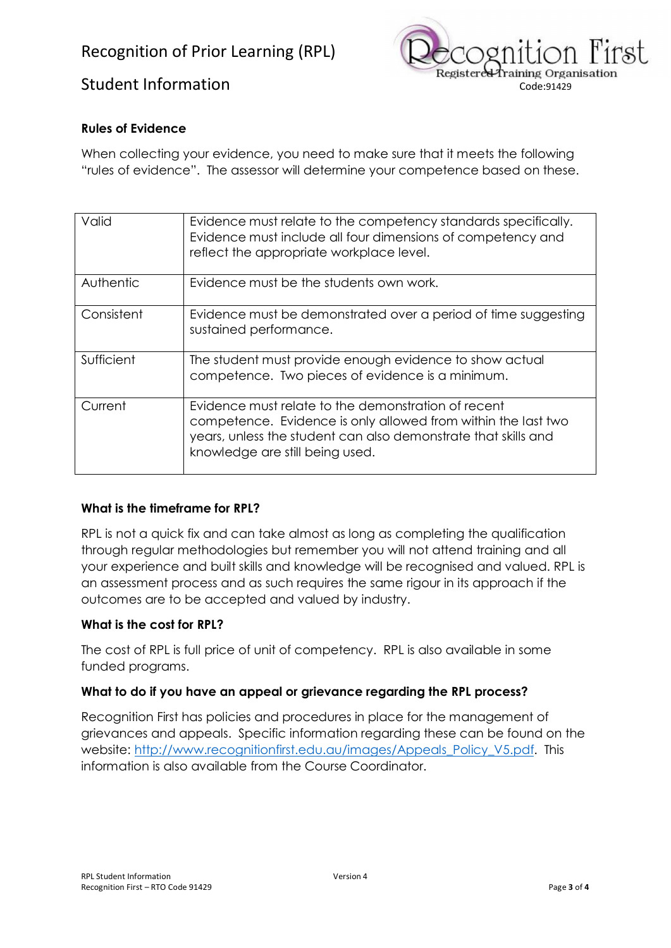

## **Rules of Evidence**

When collecting your evidence, you need to make sure that it meets the following "rules of evidence". The assessor will determine your competence based on these.

| Valid      | Evidence must relate to the competency standards specifically.<br>Evidence must include all four dimensions of competency and<br>reflect the appropriate workplace level.                                                 |
|------------|---------------------------------------------------------------------------------------------------------------------------------------------------------------------------------------------------------------------------|
| Authentic  | Evidence must be the students own work.                                                                                                                                                                                   |
| Consistent | Evidence must be demonstrated over a period of time suggesting<br>sustained performance.                                                                                                                                  |
| Sufficient | The student must provide enough evidence to show actual<br>competence. Two pieces of evidence is a minimum.                                                                                                               |
| Current    | Evidence must relate to the demonstration of recent<br>competence. Evidence is only allowed from within the last two<br>years, unless the student can also demonstrate that skills and<br>knowledge are still being used. |

## **What is the timeframe for RPL?**

RPL is not a quick fix and can take almost as long as completing the qualification through regular methodologies but remember you will not attend training and all your experience and built skills and knowledge will be recognised and valued. RPL is an assessment process and as such requires the same rigour in its approach if the outcomes are to be accepted and valued by industry.

### **What is the cost for RPL?**

The cost of RPL is full price of unit of competency. RPL is also available in some funded programs.

### **What to do if you have an appeal or grievance regarding the RPL process?**

Recognition First has policies and procedures in place for the management of grievances and appeals. Specific information regarding these can be found on the website: http://www.recognitionfirst.edu.au/images/Appeals\_Policy\_V5.pdf. This information is also available from the Course Coordinator.